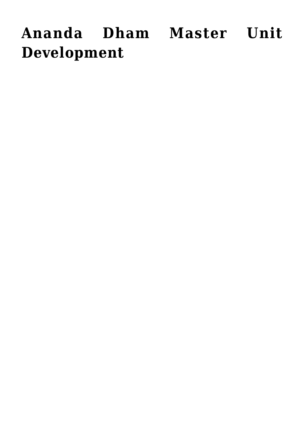## **[Ananda Dham Master Unit](https://crimsondawn.net/ananda-dham-master-unit-development/) [Development](https://crimsondawn.net/ananda-dham-master-unit-development/)**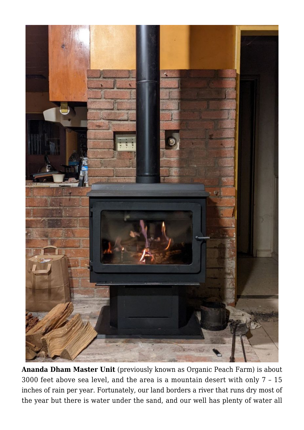

**Ananda Dham Master Unit** (previously known as Organic Peach Farm) is about 3000 feet above sea level, and the area is a mountain desert with only 7 – 15 inches of rain per year. Fortunately, our land borders a river that runs dry most of the year but there is water under the sand, and our well has plenty of water all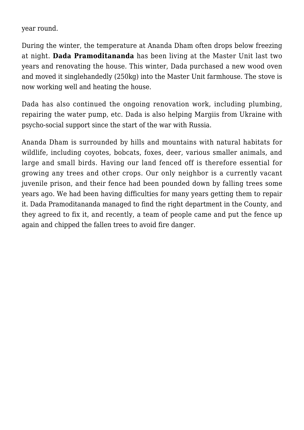year round.

During the winter, the temperature at Ananda Dham often drops below freezing at night. **Dada Pramoditananda** has been living at the Master Unit last two years and renovating the house. This winter, Dada purchased a new wood oven and moved it singlehandedly (250kg) into the Master Unit farmhouse. The stove is now working well and heating the house.

Dada has also continued the ongoing renovation work, including plumbing, repairing the water pump, etc. Dada is also helping Margiis from Ukraine with psycho-social support since the start of the war with Russia.

Ananda Dham is surrounded by hills and mountains with natural habitats for wildlife, including coyotes, bobcats, foxes, deer, various smaller animals, and large and small birds. Having our land fenced off is therefore essential for growing any trees and other crops. Our only neighbor is a currently vacant juvenile prison, and their fence had been pounded down by falling trees some years ago. We had been having difficulties for many years getting them to repair it. Dada Pramoditananda managed to find the right department in the County, and they agreed to fix it, and recently, a team of people came and put the fence up again and chipped the fallen trees to avoid fire danger.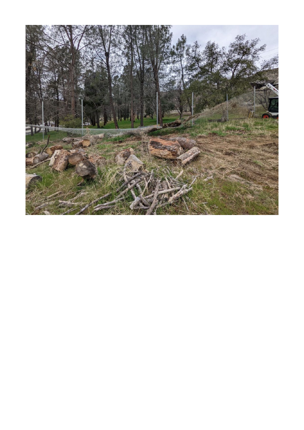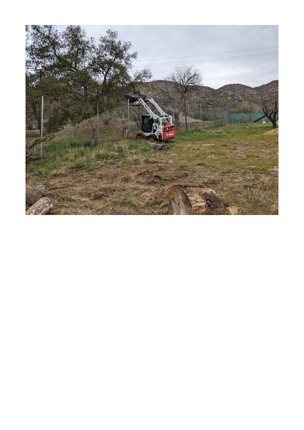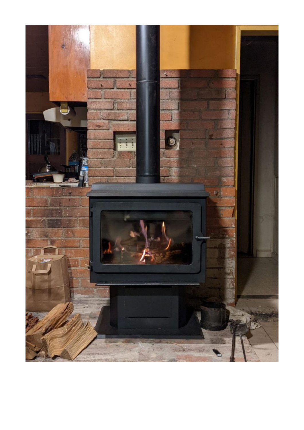